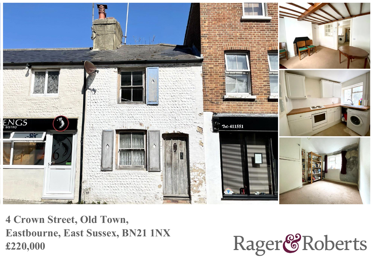

**4 Crown Street, Old Town, Eastbourne, East Sussex, BN21 1NX £220,000**